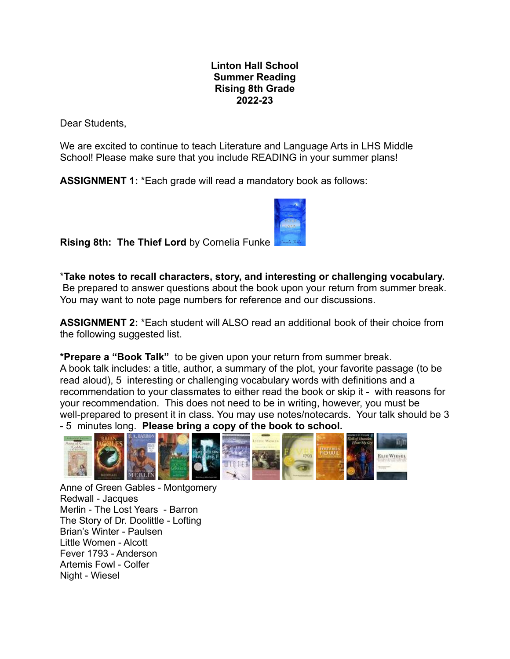## **Linton Hall School Summer Reading Rising 8th Grade 2022-23**

Dear Students,

We are excited to continue to teach Literature and Language Arts in LHS Middle School! Please make sure that you include READING in your summer plans!

**ASSIGNMENT 1:** \*Each grade will read a mandatory book as follows:



**Rising 8th: The Thief Lord** by Cornelia Funke

\***Take notes to recall characters, story, and interesting or challenging vocabulary.** Be prepared to answer questions about the book upon your return from summer break.

You may want to note page numbers for reference and our discussions.

**ASSIGNMENT 2:** \*Each student will ALSO read an additional book of their choice from the following suggested list.

**\*Prepare a "Book Talk"** to be given upon your return from summer break. A book talk includes: a title, author, a summary of the plot, your favorite passage (to be read aloud), 5 interesting or challenging vocabulary words with definitions and a recommendation to your classmates to either read the book or skip it - with reasons for your recommendation. This does not need to be in writing, however, you must be well-prepared to present it in class. You may use notes/notecards. Your talk should be 3 - 5 minutes long. **Please bring a copy of the book to school.**



Anne of Green Gables - Montgomery Redwall - Jacques Merlin - The Lost Years - Barron The Story of Dr. Doolittle - Lofting Brian's Winter - Paulsen Little Women - Alcott Fever 1793 - Anderson Artemis Fowl - Colfer Night - Wiesel